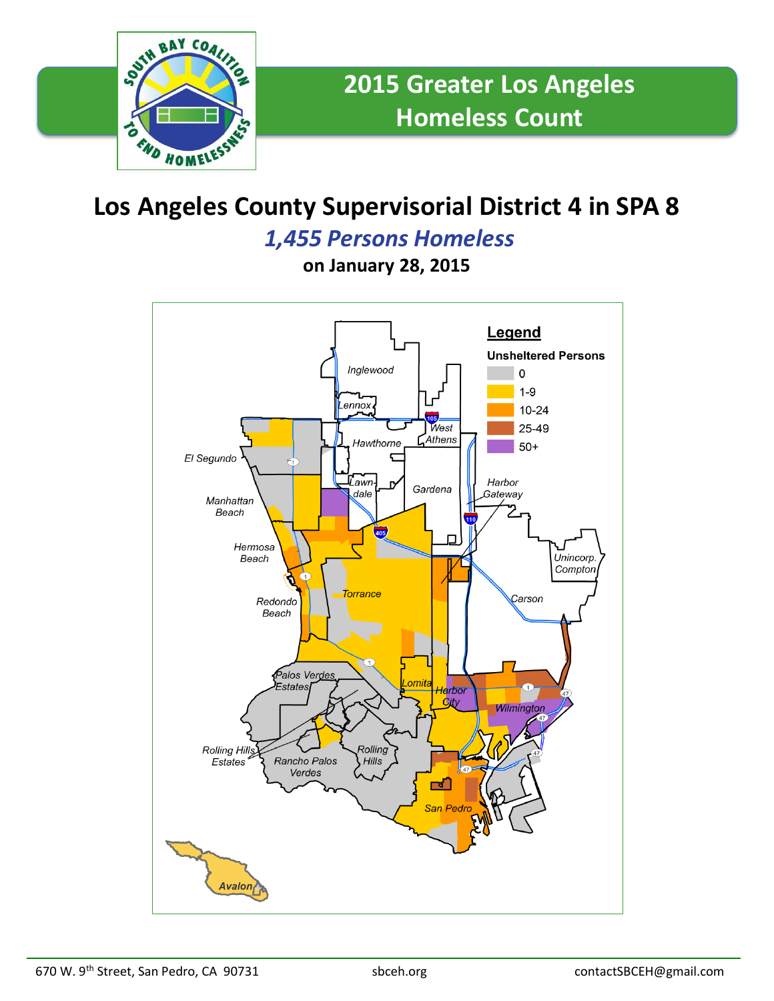

# **Los Angeles County Supervisorial District 4 in SPA 8**

### *1,455 Persons Homeless*

**on January 28, 2015**